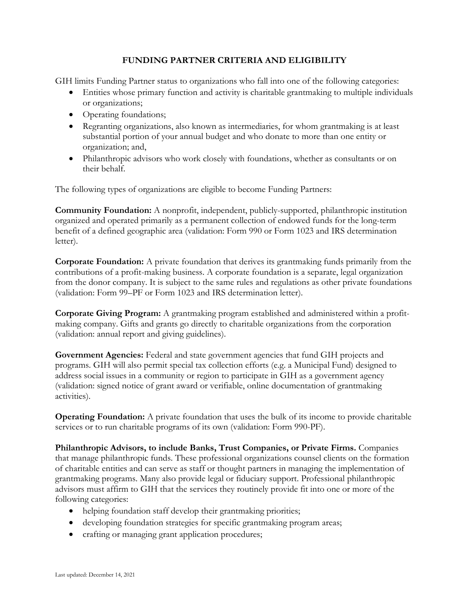## **FUNDING PARTNER CRITERIA AND ELIGIBILITY**

GIH limits Funding Partner status to organizations who fall into one of the following categories:

- Entities whose primary function and activity is charitable grantmaking to multiple individuals or organizations;
- Operating foundations;
- Regranting organizations, also known as intermediaries, for whom grantmaking is at least substantial portion of your annual budget and who donate to more than one entity or organization; and,
- Philanthropic advisors who work closely with foundations, whether as consultants or on their behalf.

The following types of organizations are eligible to become Funding Partners:

**Community Foundation:** A nonprofit, independent, publicly-supported, philanthropic institution organized and operated primarily as a permanent collection of endowed funds for the long-term benefit of a defined geographic area (validation: Form 990 or Form 1023 and IRS determination letter).

**Corporate Foundation:** A private foundation that derives its grantmaking funds primarily from the contributions of a profit-making business. A corporate foundation is a separate, legal organization from the donor company. It is subject to the same rules and regulations as other private foundations (validation: Form 99–PF or Form 1023 and IRS determination letter).

**Corporate Giving Program:** A grantmaking program established and administered within a profitmaking company. Gifts and grants go directly to charitable organizations from the corporation (validation: annual report and giving guidelines).

**Government Agencies:** Federal and state government agencies that fund GIH projects and programs. GIH will also permit special tax collection efforts (e.g. a Municipal Fund) designed to address social issues in a community or region to participate in GIH as a government agency (validation: signed notice of grant award or verifiable, online documentation of grantmaking activities).

**Operating Foundation:** A private foundation that uses the bulk of its income to provide charitable services or to run charitable programs of its own (validation: Form 990-PF).

**Philanthropic Advisors, to include Banks, Trust Companies, or Private Firms.** Companies that manage philanthropic funds. These professional organizations counsel clients on the formation of charitable entities and can serve as staff or thought partners in managing the implementation of grantmaking programs. Many also provide legal or fiduciary support. Professional philanthropic advisors must affirm to GIH that the services they routinely provide fit into one or more of the following categories:

- helping foundation staff develop their grantmaking priorities;
- developing foundation strategies for specific grantmaking program areas;
- crafting or managing grant application procedures;